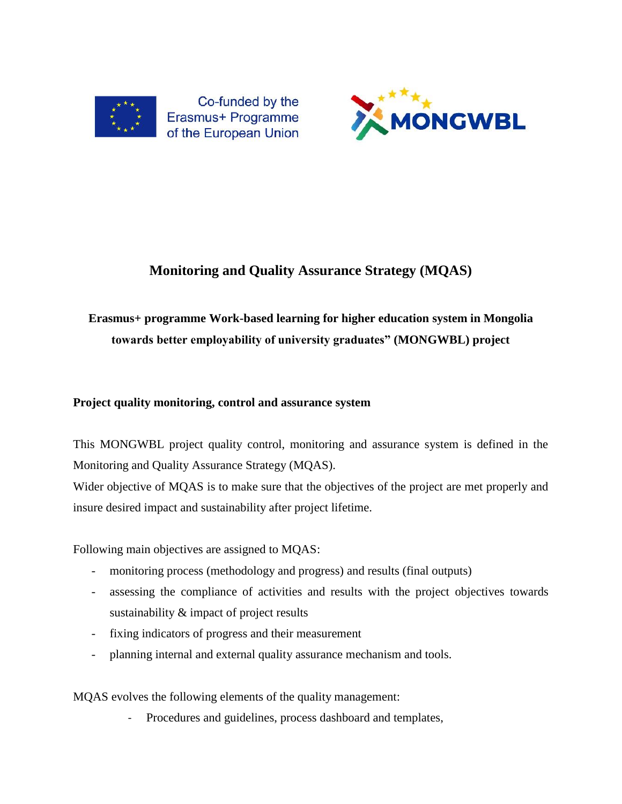

Co-funded by the Erasmus+ Programme of the European Union



# **Monitoring and Quality Assurance Strategy (MQAS)**

# **Erasmus+ programme Work-based learning for higher education system in Mongolia towards better employability of university graduates" (MONGWBL) project**

## **Project quality monitoring, control and assurance system**

This MONGWBL project quality control, monitoring and assurance system is defined in the Monitoring and Quality Assurance Strategy (MQAS).

Wider objective of MQAS is to make sure that the objectives of the project are met properly and insure desired impact and sustainability after project lifetime.

Following main objectives are assigned to MQAS:

- monitoring process (methodology and progress) and results (final outputs)
- assessing the compliance of activities and results with the project objectives towards sustainability & impact of project results
- fixing indicators of progress and their measurement
- planning internal and external quality assurance mechanism and tools.

MQAS evolves the following elements of the quality management:

- Procedures and guidelines, process dashboard and templates,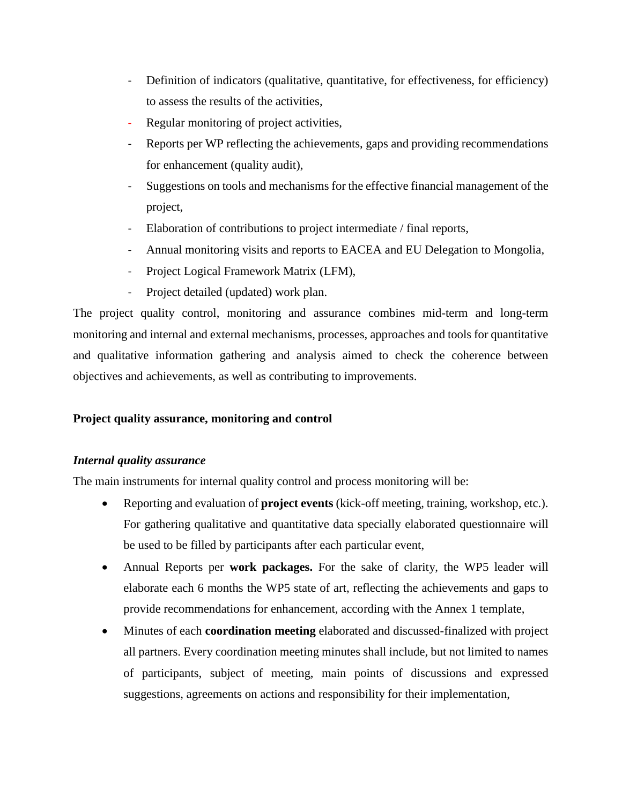- Definition of indicators (qualitative, quantitative, for effectiveness, for efficiency) to assess the results of the activities,
- Regular monitoring of project activities,
- Reports per WP reflecting the achievements, gaps and providing recommendations for enhancement (quality audit),
- Suggestions on tools and mechanisms for the effective financial management of the project,
- Elaboration of contributions to project intermediate / final reports,
- Annual monitoring visits and reports to EACEA and EU Delegation to Mongolia,
- Project Logical Framework Matrix (LFM),
- Project detailed (updated) work plan.

The project quality control, monitoring and assurance combines mid-term and long-term monitoring and internal and external mechanisms, processes, approaches and tools for quantitative and qualitative information gathering and analysis aimed to check the coherence between objectives and achievements, as well as contributing to improvements.

## **Project quality assurance, monitoring and control**

#### *Internal quality assurance*

The main instruments for internal quality control and process monitoring will be:

- Reporting and evaluation of **project events** (kick-off meeting, training, workshop, etc.). For gathering qualitative and quantitative data specially elaborated questionnaire will be used to be filled by participants after each particular event,
- Annual Reports per **work packages.** For the sake of clarity, the WP5 leader will elaborate each 6 months the WP5 state of art, reflecting the achievements and gaps to provide recommendations for enhancement, according with the Annex 1 template,
- Minutes of each **coordination meeting** elaborated and discussed-finalized with project all partners. Every coordination meeting minutes shall include, but not limited to names of participants, subject of meeting, main points of discussions and expressed suggestions, agreements on actions and responsibility for their implementation,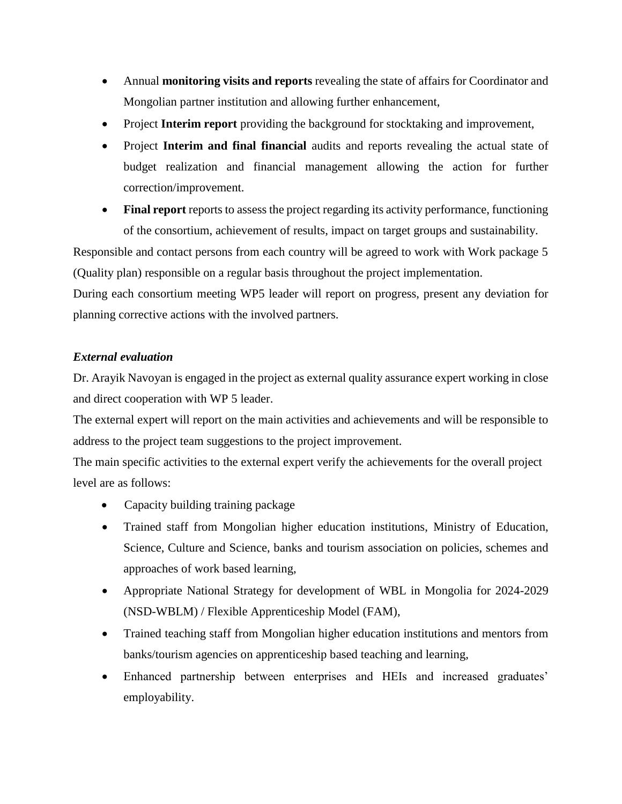- Annual **monitoring visits and reports** revealing the state of affairs for Coordinator and Mongolian partner institution and allowing further enhancement,
- Project **Interim report** providing the background for stocktaking and improvement,
- Project **Interim and final financial** audits and reports revealing the actual state of budget realization and financial management allowing the action for further correction/improvement.
- Final report reports to assess the project regarding its activity performance, functioning of the consortium, achievement of results, impact on target groups and sustainability.

Responsible and contact persons from each country will be agreed to work with Work package 5 (Quality plan) responsible on a regular basis throughout the project implementation.

During each consortium meeting WP5 leader will report on progress, present any deviation for planning corrective actions with the involved partners.

#### *External evaluation*

Dr. Arayik Navoyan is engaged in the project as external quality assurance expert working in close and direct cooperation with WP 5 leader.

The external expert will report on the main activities and achievements and will be responsible to address to the project team suggestions to the project improvement.

The main specific activities to the external expert verify the achievements for the overall project level are as follows:

- Capacity building training package
- Trained staff from Mongolian higher education institutions, Ministry of Education, Science, Culture and Science, banks and tourism association on policies, schemes and approaches of work based learning,
- Appropriate National Strategy for development of WBL in Mongolia for 2024-2029 (NSD-WBLM) / Flexible Apprenticeship Model (FAM),
- Trained teaching staff from Mongolian higher education institutions and mentors from banks/tourism agencies on apprenticeship based teaching and learning,
- Enhanced partnership between enterprises and HEIs and increased graduates' employability.